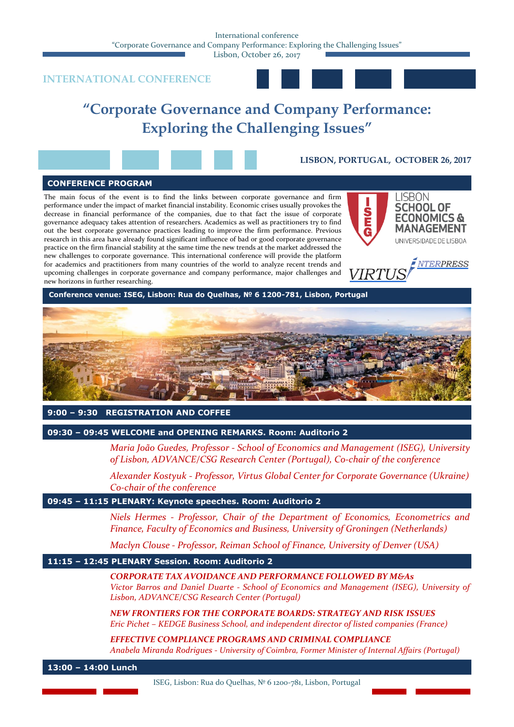Lisbon, October 26, 2017

# **INTERNATIONAL CONFERENCE**



# **"Corporate Governance and Company Performance: Exploring the Challenging Issues"**

**LISBON, PORTUGAL, OCTOBER 26, 2017**

# **CONFERENCE PROGRAM**

The main focus of the event is to find the links between corporate governance and firm performance under the impact of market financial instability. Economic crises usually provokes the decrease in financial performance of the companies, due to that fact the issue of corporate governance adequacy takes attention of researchers. Academics as well as practitioners try to find out the best corporate governance practices leading to improve the firm performance. Previous research in this area have already found significant influence of bad or good corporate governance practice on the firm financial stability at the same time the new trends at the market addressed the new challenges to corporate governance. This international conference will provide the platform for academics and practitioners from many countries of the world to analyze recent trends and upcoming challenges in corporate governance and company performance, major challenges and new horizons in further researching.







**Conference venue: ISEG, Lisbon: Rua do Quelhas, № 6 1200-781, Lisbon, Portugal**



# **9:00 – 9:30 REGISTRATION AND COFFEE**

**09:30 – 09:45 WELCOME and OPENING REMARKS. Room: Auditorio 2**

*Maria João Guedes, Professor - School of Economics and Management (ISEG), University of Lisbon, ADVANCE/CSG Research Center (Portugal), Co-chair of the conference*

*Alexander Kostyuk* - *Professor, Virtus Global Center for Corporate Governance (Ukraine) Co-chair of the conference*

# **09:45 – 11:15 PLENARY: Keynote speeches. Room: Auditorio 2**

*Niels Hermes - Professor, Chair of the Department of Economics, Econometrics and Finance, Faculty of Economics and Business, University of Groningen (Netherlands)*

*Maclyn Clouse - Professor, Reiman School of Finance, University of Denver (USA)*

# **11:15 – 12:45 PLENARY Session. Room: Auditorio 2**

#### *CORPORATE TAX AVOIDANCE AND PERFORMANCE FOLLOWED BY M&As*

*Victor Barros and Daniel Duarte - School of Economics and Management (ISEG), University of Lisbon, ADVANCE/CSG Research Center (Portugal)*

*NEW FRONTIERS FOR THE CORPORATE BOARDS: STRATEGY AND RISK ISSUES Eric Pichet – KEDGE Business School, and independent director of listed companies (France)*

*EFFECTIVE COMPLIANCE PROGRAMS AND CRIMINAL COMPLIANCE Anabela Miranda Rodrigues - University of Coimbra, Former Minister of Internal Affairs (Portugal)*

**13:00 – 14:00 Lunch** 

ISEG, Lisbon: Rua do Quelhas, № 6 1200-781, Lisbon, Portugal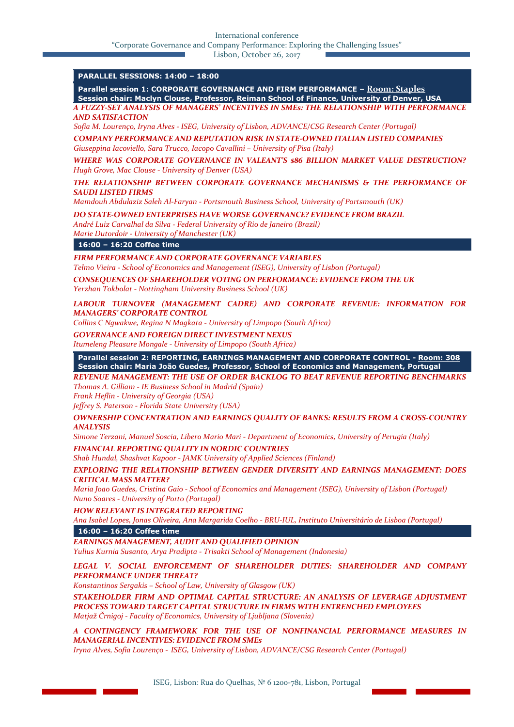International conference

"Corporate Governance and Company Performance: Exploring the Challenging Issues"

Lisbon, October 26, 2017

# **PARALLEL SESSIONS: 14:00 – 18:00**

**Parallel session 1: CORPORATE GOVERNANCE AND FIRM PERFORMANCE – Room: Staples Session chair: Maclyn Clouse, Professor, Reiman School of Finance, University of Denver, USA** *A FUZZY-SET ANALYSIS OF MANAGERS' INCENTIVES IN SMEs: THE RELATIONSHIP WITH PERFORMANCE* 

*AND SATISFACTION* 

*Sofia M. Lourenço, Iryna Alves - ISEG, University of Lisbon, ADVANCE/CSG Research Center (Portugal)*

*COMPANY PERFORMANCE AND REPUTATION RISK IN STATE-OWNED ITALIAN LISTED COMPANIES Giuseppina Iacoviello, Sara Trucco, Iacopo Cavallini – University of Pisa (Italy)*

*WHERE WAS CORPORATE GOVERNANCE IN VALEANT'S \$86 BILLION MARKET VALUE DESTRUCTION? Hugh Grove, Mac Clouse - University of Denver (USA)*

*THE RELATIONSHIP BETWEEN CORPORATE GOVERNANCE MECHANISMS & THE PERFORMANCE OF SAUDI LISTED FIRMS* 

*Mamdouh Abdulaziz Saleh Al-Faryan - Portsmouth Business School, University of Portsmouth (UK)*

*DO STATE-OWNED ENTERPRISES HAVE WORSE GOVERNANCE? EVIDENCE FROM BRAZIL* 

*André Luiz Carvalhal da Silva - Federal University of Rio de Janeiro (Brazil) Marie Dutordoir - University of Manchester (UK)*

**16:00 – 16:20 Coffee time**

*FIRM PERFORMANCE AND CORPORATE GOVERNANCE VARIABLES*

*Telmo Vieira - School of Economics and Management (ISEG), University of Lisbon (Portugal)*

*CONSEQUENCES OF SHAREHOLDER VOTING ON PERFORMANCE: EVIDENCE FROM THE UK Yerzhan Tokbolat - Nottingham University Business School (UK)*

*LABOUR TURNOVER (MANAGEMENT CADRE) AND CORPORATE REVENUE: INFORMATION FOR MANAGERS' CORPORATE CONTROL*

*Collins C Ngwakwe, Regina N Magkata - University of Limpopo (South Africa)*

*GOVERNANCE AND FOREIGN DIRECT INVESTMENT NEXUS*

*Itumeleng Pleasure Mongale - University of Limpopo (South Africa)*

**Parallel session 2: REPORTING, EARNINGS MANAGEMENT AND CORPORATE CONTROL - Room: 308 Session chair: Maria João Guedes, Professor, School of Economics and Management, Portugal**

*REVENUE MANAGEMENT: THE USE OF ORDER BACKLOG TO BEAT REVENUE REPORTING BENCHMARKS Thomas A. Gilliam - IE Business School in Madrid (Spain)*

*Frank Heflin - University of Georgia (USA)*

*Jeffrey S. Paterson - Florida State University (USA)*

*OWNERSHIP CONCENTRATION AND EARNINGS QUALITY OF BANKS: RESULTS FROM A CROSS-COUNTRY ANALYSIS* 

*Simone Terzani, Manuel Soscia, Libero Mario Mari - Department of Economics, University of Perugia (Italy)*

*FINANCIAL REPORTING QUALITY IN NORDIC COUNTRIES* 

*Shab Hundal, Shashvat Kapoor - JAMK University of Applied Sciences (Finland)*

*EXPLORING THE RELATIONSHIP BETWEEN GENDER DIVERSITY AND EARNINGS MANAGEMENT: DOES CRITICAL MASS MATTER?* 

*Maria Joao Guedes, Cristina Gaio - School of Economics and Management (ISEG), University of Lisbon (Portugal) Nuno Soares - University of Porto (Portugal)*

*HOW RELEVANT IS INTEGRATED REPORTING* 

*Ana Isabel Lopes, Jonas Oliveira, Ana Margarida Coelho - BRU-IUL, Instituto Universitário de Lisboa (Portugal)*

**16:00 – 16:20 Coffee time**

*EARNINGS MANAGEMENT, AUDIT AND QUALIFIED OPINION* 

*Yulius Kurnia Susanto, Arya Pradipta - Trisakti School of Management (Indonesia)*

*LEGAL V. SOCIAL ENFORCEMENT OF SHAREHOLDER DUTIES: SHAREHOLDER AND COMPANY PERFORMANCE UNDER THREAT?* 

*Konstantinos Sergakis – School of Law, University of Glasgow (UK)*

*STAKEHOLDER FIRM AND OPTIMAL CAPITAL STRUCTURE: AN ANALYSIS OF LEVERAGE ADJUSTMENT PROCESS TOWARD TARGET CAPITAL STRUCTURE IN FIRMS WITH ENTRENCHED EMPLOYEES Matjaž Črnigoj - Faculty of Economics, University of Ljubljana (Slovenia)*

*A CONTINGENCY FRAMEWORK FOR THE USE OF NONFINANCIAL PERFORMANCE MEASURES IN MANAGERIAL INCENTIVES: EVIDENCE FROM SMEs*

*Iryna Alves, Sofia Lourenço - ISEG, University of Lisbon, ADVANCE/CSG Research Center (Portugal)*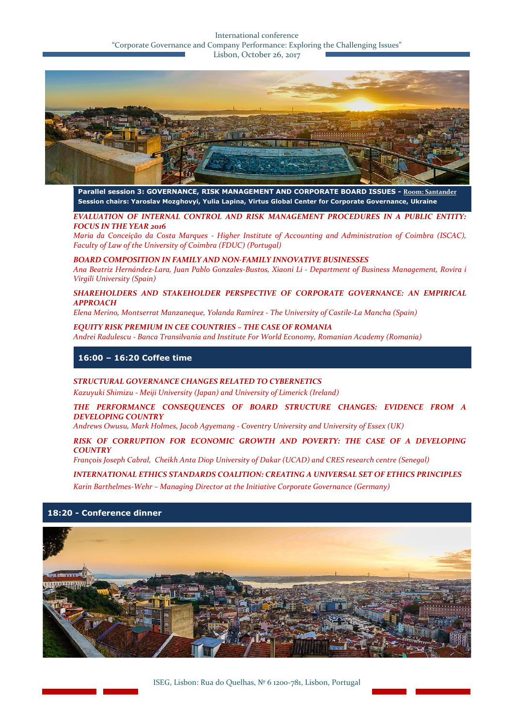#### International conference "Corporate Governance and Company Performance: Exploring the Challenging Issues" Lisbon, October 26, 2017



**Parallel session 3: GOVERNANCE, RISK MANAGEMENT AND CORPORATE BOARD ISSUES - Room: Santander Session chairs: Yaroslav Mozghovyi, Yulia Lapina, Virtus Global Center for Corporate Governance, Ukraine**

*EVALUATION OF INTERNAL CONTROL AND RISK MANAGEMENT PROCEDURES IN A PUBLIC ENTITY: FOCUS IN THE YEAR 2016* 

*Maria da Conceição da Costa Marques - Higher Institute of Accounting and Administration of Coimbra (ISCAC), Faculty of Law of the University of Coimbra (FDUC) (Portugal)*

*BOARD COMPOSITION IN FAMILY AND NON-FAMILY INNOVATIVE BUSINESSES* 

*Ana Beatriz Hernández-Lara, Juan Pablo Gonzales-Bustos, Xiaoni Li - Department of Business Management, Rovira i Virgili University (Spain)*

*SHAREHOLDERS AND STAKEHOLDER PERSPECTIVE OF CORPORATE GOVERNANCE: AN EMPIRICAL APPROACH*

*Elena Merino, Montserrat Manzaneque, Yolanda Ramírez - The University of Castile-La Mancha (Spain)*

*EQUITY RISK PREMIUM IN CEE COUNTRIES – THE CASE OF ROMANIA Andrei Radulescu - Banca Transilvania and Institute For World Economy, Romanian Academy (Romania)*

**16:00 – 16:20 Coffee time**

#### *STRUCTURAL GOVERNANCE CHANGES RELATED TO CYBERNETICS*

*Kazuyuki Shimizu - Meiji University (Japan) and University of Limerick (Ireland)*

*THE PERFORMANCE CONSEQUENCES OF BOARD STRUCTURE CHANGES: EVIDENCE FROM A DEVELOPING COUNTRY* 

*Andrews Owusu, Mark Holmes, Jacob Agyemang - Coventry University and University of Essex (UK)*

#### *RISK OF CORRUPTION FOR ECONOMIC GROWTH AND POVERTY: THE CASE OF A DEVELOPING COUNTRY*

*François Joseph Cabral, Cheikh Anta Diop University of Dakar (UCAD) and CRES research centre (Senegal)*

#### *INTERNATIONAL ETHICS STANDARDS COALITION: CREATING A UNIVERSAL SET OF ETHICS PRINCIPLES*

*Karin Barthelmes-Wehr – Managing Director at the Initiative Corporate Governance (Germany)*

#### **18:20 - Conference dinner**